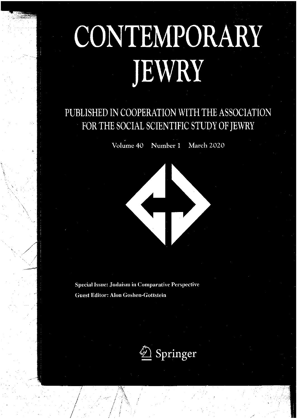# CONTEMPORARY JEWRY

## PUBLISHED IN COOPERATION WITH THE ASSOCIATION FOR THE SOCIAL SCIENTIFIC STUDY OF JEWRY

Volume 40 Number 1 March 2020



**Special Issue: Judaism in Comparative Perspective Guest Editor: Alon Goshen-Gottstein** 

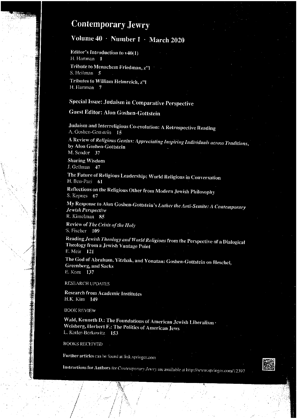## **Contemporary Jewry**

## Volume 40 Number 1 March 2020

Editor's Introduction to  $v40(1)$ H. Hartman 1

Tribute to Menachem Friedman, z"1 S. Heilman 5

Tributes to William Helmreich, z"l H. Hartman 7

## **Special Issue: Judaism in Comparative Perspective**

## **Guest Editor: Alon Goshen-Gottstein**

Judaism and Interreligious Co-evolution: A Retrospective Reading A. Goshen-Gottstein 15

A Review of Religious Genius: Appreciating Inspiring Individuals across Traditions, by Alon Goshen-Gottstein M. Sendor 37

**Sharing Wisdom** J. Gellman 47

The Future of Religious Leadership: World Religions in Conversation H. Ben-Pazi 61

Reflections on the Religious Other from Modern Jewish Philosophy S. Kepnes 67

My Response to Alon Goshen-Gottstein's Luther the Anti-Semite: A Contemporary **Jewish Perspective** R. Kimelman 85

**Review of The Crisis of the Holy** S. Fischer 109

Reading Jewish Theology and World Religions from the Perspective of a Dialogical Theology from a Jewish Vantage Point E. Meir 121

The God of Abraham, Yitzhak, and Yonatan: Goshen-Gottstein on Heschel, **Greenberg**, and Sacks E. Korn 137

**RESEARCH UPDATES** 

**Research from Academic Institutes** H.K. Kim 149

#### **BOOK REVIEW**

Wald, Kenneth D.: The Foundations of American Jewish Liberalism . Weisberg, Herbert F.: The Politics of American Jews L. Kotler-Berkowitz 153

**BOOKS RECEIVED** 

Further articles can be found at link.springer.com

Instructions for Authors for Contemporary Jewry are available at http://www.springer.com/12397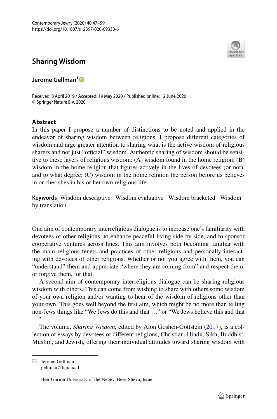

## **Sharing Wisdom**

**Jerome Gellman[1](http://orcid.org/0000-0002-7507-9409)**

Received: 8 April 2019 / Accepted: 19 May 2020 / Published online: 12 June 2020 © Springer Nature B.V. 2020

### **Abstract**

In this paper I propose a number of distinctions to be noted and applied in the endeavor of sharing wisdom between religions. I propose diferent categories of wisdom and urge greater attention to sharing what is the active wisdom of religious sharers and not just "official" wisdom. Authentic sharing of wisdom should be sensitive to these layers of religious wisdom: (A) wisdom found in the home religion; (B) wisdom in the home religion that fgures actively in the lives of devotees (or not), and to what degree; (C) wisdom in the home religion the person before us believes in or cherishes in his or her own religious life.

**Keywords** Wisdom descriptive · Wisdom evaluative · Wisdom bracketed · Wisdom by translation

One aim of contemporary interreligious dialogue is to increase one's familiarity with devotees of other religions, to enhance peaceful living side by side, and to sponsor cooperative ventures across lines. This aim involves both becoming familiar with the main religious tenets and practices of other religions and personally interacting with devotees of other religions. Whether or not you agree with them, you can "understand" them and appreciate "where they are coming from" and respect them, or forgive them, for that.

A second aim of contemporary interreligious dialogue can be sharing religious wisdom with others. This can come from wishing to share with others some wisdom of your own religion and/or wanting to hear of the wisdom of religions other than your own. This goes well beyond the frst aim, which might be no more than telling non-Jews things like "We Jews do this and that …" or "We Jews believe this and that …"

The volume, *Sharing Wisdom*, edited by Alon Goshen-Gottstein [\(2017](#page-14-0)), is a collection of essays by devotees of diferent religions, Christian, Hindu, Sikh, Buddhist, Muslim, and Jewish, ofering their individual attitudes toward sharing wisdom with

 $\boxtimes$  Jerome Gellman gellman@bgu.ac.il

<sup>1</sup> Ben-Gurion University of the Negev, Beer-Sheva, Israel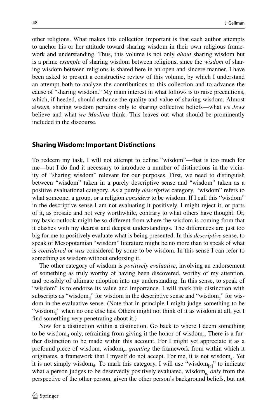other religions. What makes this collection important is that each author attempts to anchor his or her attitude toward sharing wisdom in their own religious framework and understanding. Thus, this volume is not only *about* sharing wisdom but is a prime *example* of sharing wisdom between religions, since the *wisdom* of sharing wisdom between religions is shared here in an open and sincere manner. I have been asked to present a constructive review of this volume, by which I understand an attempt both to analyze the contributions to this collection and to advance the cause of "sharing wisdom." My main interest in what follows is to raise precautions, which, if heeded, should enhance the quality and value of sharing wisdom. Almost always, sharing wisdom pertains only to sharing collective beliefs—what *we Jews* believe and what *we Muslims* think. This leaves out what should be prominently included in the discourse.

#### **Sharing Wisdom: Important Distinctions**

To redeem my task, I will not attempt to defne "wisdom"—that is too much for me—but I do fnd it necessary to introduce a number of distinctions in the vicinity of "sharing wisdom" relevant for our purposes. First, we need to distinguish between "wisdom" taken in a purely descriptive sense and "wisdom" taken as a positive evaluational category. As a purely *descriptive* category, "wisdom" refers to what someone, a group, or a religion *considers* to be wisdom. If I call this "wisdom" in the descriptive sense I am not evaluating it positively. I might reject it, or parts of it, as prosaic and not very worthwhile, contrary to what others have thought. Or, my basic outlook might be so diferent from where the wisdom is coming from that it clashes with my dearest and deepest understandings. The diferences are just too big for me to positively evaluate what is being presented. In this *descriptive* sense, to speak of Mesopotamian "wisdom" literature might be no more than to speak of what is *considered* or *was* considered by some to be wisdom. In this sense I can refer to something as wisdom without endorsing it.

The other category of wisdom is *positively evaluative*, involving an endorsement of something as truly worthy of having been discovered, worthy of my attention, and possibly of ultimate adoption into my understanding. In this sense, to speak of "wisdom" is to endorse its value and importance. I will mark this distinction with subscripts as "wisdom<sub>a</sub>" for wisdom in the descriptive sense and "wisdom<sub>e</sub>" for wisdom in the evaluative sense. (Note that in principle I might judge something to be "wisdom<sub>e</sub>" when no one else has. Others might not think of it as wisdom at all, yet I fnd something very penetrating about it.)

Now for a distinction within a distinction. Go back to where I deem something to be wisdom<sub>d</sub> only, refraining from giving it the honor of wisdom<sub>e</sub>. There is a further distinction to be made within this account. For I might yet appreciate it as a profound piece of wisdom, wisdom, *granting* the framework from within which it originates, a framework that I myself do not accept. For me, it is not wisdom<sub>e</sub>. Yet it is not simply wisdom<sub>d</sub>. To mark this category, I will use "wisdom<sub>[e]</sub>" to indicate what a person judges to be deservedly positively evaluated, wisdome, *only* from the perspective of the other person, given the other person's background beliefs, but not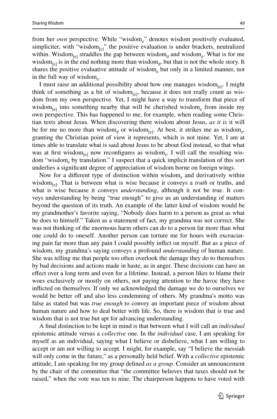from her own perspective. While "wisdom<sub>e</sub>" denotes wisdom positively evaluated, simpliciter, with "wisdom $_{\text{[e]}}$ " the positive evaluation is under brackets, neutralized within. Wisdom<sub>[e]</sub> straddles the gap between wisdom<sub>d</sub> and wisdom<sub>e</sub>. What is for me wisdom<sub> $[Fe]$ </sub> is in the end nothing more than wisdom<sub>d</sub>, but that is not the whole story. It shares the positive evaluative attitude of wisdom<sub>e</sub> but only in a limited manner, not in the full way of wisdom.

I must raise an additional possibility about how one manages wisdom<sub> $[e]$ </sub>. I might think of something as a bit of wisdom<sub> $[e]$ </sub>, because it does not really count as wisdom from my own perspective. Yet, I might have a way to transform that piece of wisdom<sub> $[Fe]$ </sub> into something nearby that will be cherished wisdom<sub>e</sub> from inside my own perspective. This has happened to me, for example, when reading some Christian texts about Jesus. When discovering there wisdom about Jesus, *as it is* it will be for me no more than wisdom<sub>d</sub> or wisdom<sub>[e]</sub>. At best, it strikes me as wisdom<sub>e</sub>, granting the Christian point of view it represents, which is not mine. Yet, I am at times able to translate what is said about Jesus to be about God instead, so that what was at first wisdom<sub>[e]</sub> now reconfigures as wisdom<sub>e</sub>. I will call the resulting wisdom "wisdome by translation." I suspect that a quick implicit translation of this sort underlies a signifcant degree of appreciation of wisdom borne on foreign wings.

Now for a different type of distinction within wisdom, and derivatively within wisdom<sub> $[Fe]$ </sub>. That is between what is wise because it conveys a *truth* or truths, and what is wise because it conveys *understanding*, although it not be true. It conveys understanding by being "true enough" to give us an understanding of matters beyond the question of its truth. An example of the latter kind of wisdom would be my grandmother's favorite saying, "Nobody does harm to a person as great as what he does to himself." Taken as a statement of fact, my grandma was not correct. She was not thinking of the enormous harm others can do to a person far more than what one could do to oneself. Another person can torture me for hours with excruciating pain far more than any pain I could possibly infict on myself. But as a piece of wisdom, my grandma's saying conveys a profound *understanding* of human nature. She was telling me that people too often overlook the damage they do to themselves by bad decisions and actions made in haste, as in anger. These decisions can have an efect over a long term and even for a lifetime. Instead, a person likes to blame their woes exclusively or mostly on others, not paying attention to the havoc they have inficted on themselves. If only we acknowledged the damage we do to ourselves we would be better off and also less condemning of others. My grandma's motto was false as stated but was *true enough* to convey an important piece of wisdom about human nature and how to deal better with life. So, there is wisdom that is true and wisdom that is not true but apt for advancing understanding.

A fnal distinction to be kept in mind is that between what I will call an *individual* epistemic attitude versus a *collective* one. In the *individual* case, I am speaking for myself as an individual, saying what I believe or disbelieve, what I am willing to accept or am not willing to accept. I might, for example, say "I believe the messiah will only come in the future," as a personally held belief. With a *collective* epistemic attitude, I am speaking for my group defned *as a group*. Consider an announcement by the chair of the committee that "the committee believes that taxes should not be raised," when the vote was ten to nine. The chairperson happens to have voted with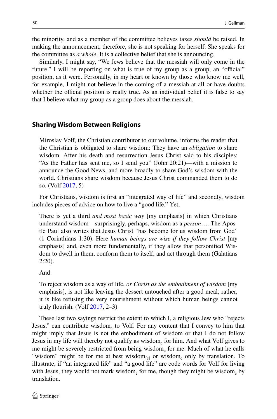the minority, and as a member of the committee believes taxes *should* be raised. In making the announcement, therefore, she is not speaking for herself. She speaks for the committee as *a whole*. It is a collective belief that she is announcing.

Similarly, I might say, "We Jews believe that the messiah will only come in the future." I will be reporting on what is true of my group as a group, an "official" position, as it were. Personally, in my heart or known by those who know me well, for example, I might not believe in the coming of a messiah at all or have doubts whether the official position is really true. As an individual belief it is false to say that I believe what my group as a group does about the messiah.

#### **Sharing Wisdom Between Religions**

Miroslav Volf, the Christian contributor to our volume, informs the reader that the Christian is obligated to share wisdom: They have an *obligation* to share wisdom. After his death and resurrection Jesus Christ said to his disciples: "As the Father has sent me, so I send you" (John 20:21)—with a mission to announce the Good News, and more broadly to share God's wisdom with the world. Christians share wisdom because Jesus Christ commanded them to do so. (Volf [2017,](#page-14-1) 5)

For Christians, wisdom is frst an "integrated way of life" and secondly, wisdom includes pieces of advice on how to live a "good life." Yet,

There is yet a third *and most basic way* [my emphasis] in which Christians understand wisdom—surprisingly, perhaps, wisdom as a *person*…. The Apostle Paul also writes that Jesus Christ "has become for us wisdom from God" (1 Corinthians 1:30). Here *human beings are wise if they follow Christ* [my emphasis] and, even more fundamentally, if they allow that personifed Wisdom to dwell in them, conform them to itself, and act through them (Galatians 2:20).

And:

To reject wisdom as a way of life, *or Christ as the embodiment of wisdom* [my emphasis], is not like leaving the dessert untouched after a good meal; rather, it is like refusing the very nourishment without which human beings cannot truly flourish. (Volf  $2017, 2-3$  $2017, 2-3$ )

These last two sayings restrict the extent to which I, a religious Jew who "rejects Jesus," can contribute wisdom<sub>e</sub> to Volf. For any content that I convey to him that might imply that Jesus is not the embodiment of wisdom or that I do not follow Jesus in my life will thereby not qualify as wisdome for him. And what Volf gives to me might be severely restricted from being wisdom<sub>e</sub> for me. Much of what he calls "wisdom" might be for me at best wisdom<sub>[e]</sub> or wisdom<sub>e</sub> only by translation. To illustrate, if "an integrated life" and "a good life" are code words for Volf for living with Jesus, they would not mark wisdom<sub>e</sub> for me, though they might be wisdom<sub>e</sub> by translation.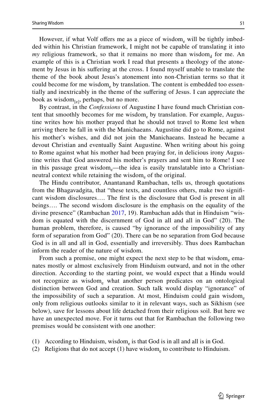However, if what Volf offers me as a piece of wisdom, will be tightly imbedded within his Christian framework, I might not be capable of translating it into *my* religious framework, so that it remains no more than wisdom<sub>d</sub> for me. An example of this is a Christian work I read that presents a theology of the atonement by Jesus in his sufering at the cross. I found myself unable to translate the theme of the book about Jesus's atonement into non-Christian terms so that it could become for me wisdom, by translation. The content is embedded too essentially and inextricably in the theme of the sufering of Jesus. I can appreciate the book as wisdom $_{\text{[el]}}$ , perhaps, but no more.

By contrast, in the *Confessions* of Augustine I have found much Christian content that smoothly becomes for me wisdom<sub>e</sub> by translation. For example, Augustine writes how his mother prayed that he should not travel to Rome lest when arriving there he fall in with the Manichaeans. Augustine did go to Rome, against his mother's wishes, and did not join the Manichaeans. Instead he became a devout Christian and eventually Saint Augustine. When writing about his going to Rome against what his mother had been praying for, in delicious irony Augustine writes that God answered his mother's prayers and sent him to Rome! I see in this passage great wisdom<sub>e</sub>—the idea is easily translatable into a Christianneutral context while retaining the wisdom, of the original.

The Hindu contributor, Anantanand Rambachan, tells us, through quotations from the Bhagavadgita, that "these texts, and countless others, make two signifcant wisdom disclosures…. The frst is the disclosure that God is present in all beings…. The second wisdom disclosure is the emphasis on the equality of the divine presence" (Rambachan [2017,](#page-14-2) 19). Rambachan adds that in Hinduism "wisdom is equated with the discernment of God in all and all in God" (20). The human problem, therefore, is caused "by ignorance of the impossibility of any form of separation from God" (20). There can be no separation from God because God is in all and all in God, essentially and irreversibly. Thus does Rambachan inform the reader of the nature of wisdom.

From such a premise, one might expect the next step to be that wisdom, emanates mostly or almost exclusively from Hinduism outward, and not in the other direction. According to the starting point, we would expect that a Hindu would not recognize as wisdom<sub>e</sub> what another person predicates on an ontological distinction between God and creation. Such talk would display "ignorance" of the impossibility of such a separation. At most, Hinduism could gain wisdom. only from religious outlooks similar to it in relevant ways, such as Sikhism (see below), save for lessons about life detached from their religious soil. But here we have an unexpected move. For it turns out that for Rambachan the following two premises would be consistent with one another:

- (1) According to Hinduism, wisdom<sub>e</sub> is that God is in all and all is in God.
- (2) Religions that do not accept (1) have wisdom<sub>e</sub> to contribute to Hinduism.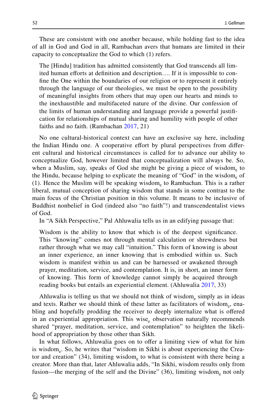These are consistent with one another because, while holding fast to the idea of all in God and God in all, Rambachan avers that humans are limited in their capacity to conceptualize the God to which (1) refers.

The [Hindu] tradition has admitted consistently that God transcends all limited human efforts at definition and description.... If it is impossible to confne the One within the boundaries of our religion or to represent it entirely through the language of our theologies, we must be open to the possibility of meaningful insights from others that may open our hearts and minds to the inexhaustible and multifaceted nature of the divine. Our confession of the limits of human understanding and language provide a powerful justifcation for relationships of mutual sharing and humility with people of other faiths and no faith. (Rambachan [2017](#page-14-2), 21)

No one cultural-historical context can have an exclusive say here, including the Indian Hindu one. A cooperative efort by plural perspectives from diferent cultural and historical circumstances is called for to advance our ability to conceptualize God, however limited that conceptualization will always be. So, when a Muslim, say, speaks of God she might be giving a piece of wisdom<sub>e</sub> to the Hindu, because helping to explicate the meaning of "God" in the wisdome of (1). Hence the Muslim will be speaking wisdom<sub>e</sub> to Rambachan. This is a rather liberal, mutual conception of sharing wisdom that stands in some contrast to the main focus of the Christian position in this volume. It means to be inclusive of Buddhist nonbelief in God (indeed also "no faith"!) and transcendentalist views of God.

In "A Sikh Perspective," Pal Ahluwalia tells us in an edifying passage that:

Wisdom is the ability to know that which is of the deepest signifcance. This "knowing" comes not through mental calculation or shrewdness but rather through what we may call "intuition." This form of knowing is about an inner experience, an inner knowing that is embodied within us. Such wisdom is manifest within us and can be harnessed or awakened through prayer, meditation, service, and contemplation. It is, in short, an inner form of knowing. This form of knowledge cannot simply be acquired through reading books but entails an experiential element. (Ahluwalia [2017](#page-13-0), 33)

Ahluwalia is telling us that we should not think of wisdom<sub>e</sub> simply as in ideas and texts. Rather we should think of these latter as facilitators of wisdome, enabling and hopefully prodding the receiver to deeply internalize what is ofered in an experiential appropriation. This wise, observation naturally recommends shared "prayer, meditation, service, and contemplation" to heighten the likelihood of appropriation by those other than Sikh.

In what follows, Ahluwalia goes on to ofer a limiting view of what for him is wisdome. So, he writes that "wisdom in Sikhi is about experiencing the Creator and creation" (34), limiting wisdom<sub>e</sub> to what is consistent with there being a creator. More than that, later Ahluwalia adds, "In Sikhi, wisdom results only from fusion—the merging of the self and the Divine" (36), limiting wisdom, not only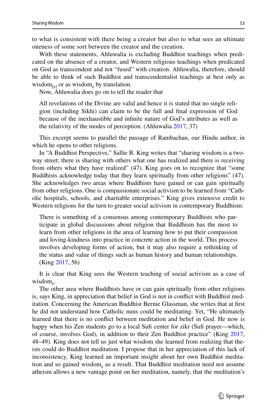to what is consistent with there being a creator but also to what sees an ultimate oneness of some sort between the creator and the creation.

With these statements, Ahluwalia is excluding Buddhist teachings when predicated on the absence of a creator, and Western religious teachings when predicated on God as transcendent and not "fused" with creation. Ahluwalia, therefore, should be able to think of such Buddhist and transcendentalist teachings at best only as wisdom $_{\text{[e]}}$  or as wisdom<sub>e</sub> by translation.

Now, Ahluwalia does go on to tell the reader that

All revelations of the Divine are valid and hence it is stated that no single religion (including Sikhi) can claim to be the full and fnal expression of God because of the inexhaustible and infnite nature of God's attributes as well as the relativity of the modes of perception. (Ahluwalia [2017](#page-13-0), 37)

This excerpt seems to parallel the passage of Rambachan, our Hindu author, in which he opens to other religions.

In "A Buddhist Perspective," Sallie B. King writes that "sharing wisdom is a twoway street; there is sharing with others what one has realized and there is receiving from others what they have realized" (47). King goes on to recognize that "some Buddhists acknowledge today that they learn spiritually from other religions" (47). She acknowledges two areas where Buddhists have gained or can gain spiritually from other religions. One is compassionate social activism to be learned from "Catholic hospitals, schools, and charitable enterprises." King gives extensive credit to Western religions for the turn to greater social activism in contemporary Buddhism:

There is something of a consensus among contemporary Buddhists who participate in global discussions about religion that Buddhism has the most to learn from other religions in the area of learning how to put their compassion and loving-kindness into practice in concrete action in the world. This process involves developing forms of action, but it may also require a rethinking of the status and value of things such as human history and human relationships. (King [2017](#page-14-3), 56)

It is clear that King sees the Western teaching of social activism as a case of wisdom<sub>e</sub>.

The other area where Buddhists have or can gain spiritually from other religions is, says King, in appreciation that belief in God is not in confict with Buddhist meditation. Concerning the American Buddhist Bernie Glassman, she writes that at frst he did not understand how Catholic nuns could be meditating. Yet, "He ultimately learned that there is no confict between meditation and belief in God. He now is happy when his Zen students go to a local Sufi center for zikr (Sufi prayer—which, of course, involves God), in addition to their Zen Buddhist practice" (King [2017,](#page-14-3) 48–49). King does not tell us just what wisdom she learned from realizing that theists could do Buddhist meditation. I propose that in her appreciation of this lack of inconsistency, King learned an important insight about her own Buddhist meditation and so gained wisdom<sub>e</sub> as a result. That Buddhist meditation need not assume atheism allows a new vantage point on her meditation, namely, that the meditation's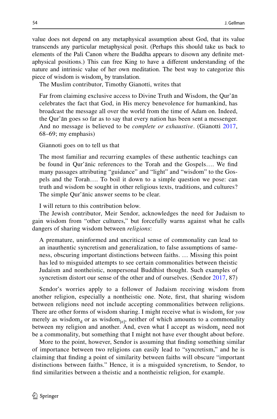value does not depend on any metaphysical assumption about God, that its value transcends any particular metaphysical posit. (Perhaps this should take us back to elements of the Pali Canon where the Buddha appears to disown any defnite metaphysical positions.) This can free King to have a diferent understanding of the nature and intrinsic value of her own meditation. The best way to categorize this piece of wisdom is wisdom, by translation.

The Muslim contributor, Timothy Gianotti, writes that

Far from claiming exclusive access to Divine Truth and Wisdom, the Qur'ān celebrates the fact that God, in His mercy benevolence for humankind, has broadcast the message all over the world from the time of Adam on. Indeed, the Qur'ān goes so far as to say that every nation has been sent a messenger. And no message is believed to be *complete or exhaustive*. (Gianotti [2017,](#page-13-1) 68–69; my emphasis)

Giannoti goes on to tell us that

The most familiar and recurring examples of these authentic teachings can be found in Qur'ānic references to the Torah and the Gospels…. We fnd many passages attributing "guidance" and "light" and "wisdom" to the Gospels and the Torah…. To boil it down to a simple question we pose: can truth and wisdom be sought in other religious texts, traditions, and cultures? The simple Qur'ānic answer seems to be clear.

I will return to this contribution below.

The Jewish contributor, Meir Sendor, acknowledges the need for Judaism to gain wisdom from "other cultures," but forcefully warns against what he calls dangers of sharing wisdom between *religions*:

A premature, uninformed and uncritical sense of commonality can lead to an inauthentic syncretism and generalization, to false assumptions of sameness, obscuring important distinctions between faiths. … Missing this point has led to misguided attempts to see certain commonalities between theistic Judaism and nontheistic, nonpersonal Buddhist thought. Such examples of syncretism distort our sense of the other and of ourselves. (Sendor [2017](#page-14-4), 87)

Sendor's worries apply to a follower of Judaism receiving wisdom from another religion, especially a nontheistic one. Note, frst, that sharing wisdom between religions need not include accepting commonalities between religions. There are other forms of wisdom sharing. I might receive what is wisdome for *you* merely as wisdom<sub>d</sub> or as wisdom<sub>[e]</sub>, neither of which amounts to a commonality between my religion and another. And, even what I accept as wisdom, need not be a commonality, but something that I might not have ever thought about before.

More to the point, however, Sendor is assuming that fnding something similar of importance between two religions can easily lead to "syncretism," and he is claiming that fnding a point of similarity between faiths will obscure "important distinctions between faiths." Hence, it is a misguided syncretism, to Sendor, to fnd similarities between a theistic and a nontheistic religion, for example.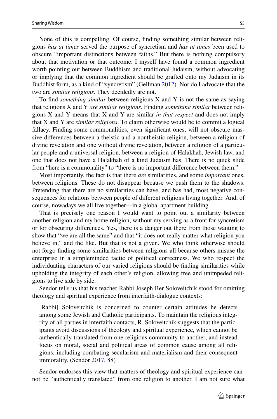None of this is compelling. Of course, fnding something similar between religions *has at times* served the purpose of syncretism and *has at times* been used to obscure "important distinctions between faiths." But there is nothing compulsory about that motivation or that outcome. I myself have found a common ingredient worth pointing out between Buddhism and traditional Judaism, without advocating or implying that the common ingredient should be grafted onto my Judaism in its Buddhist form, as a kind of "syncretism" (Gellman [2012\)](#page-13-2). Nor do I advocate that the two are *similar religions*. They decidedly are not.

To fnd *something similar* between religions X and Y is not the same as saying that religions X and Y *are similar religions*. Finding *something similar* between religions X and Y means that X and Y are similar *in that respect* and does not imply that X and Y are *similar religions*. To claim otherwise would be to commit a logical fallacy. Finding some commonalities, even signifcant ones, will not obscure massive diferences between a theistic and a nontheistic religion, between a religion of divine revelation and one without divine revelation, between a religion of a particular people and a universal religion, between a religion of Halakhah, Jewish law, and one that does not have a Halakhah of a kind Judaism has. There is no quick slide from "here is a commonality" to "there is no important diference between them."

Most importantly, the fact is that there *are* similarities, and some *important* ones, between religions. These do not disappear because we push them to the shadows. Pretending that there are no similarities can have, and has had, most negative consequences for relations between people of diferent religions living together. And, of course, nowadays we all live together—in a global apartment building.

That is precisely one reason I would want to point out a similarity between another religion and my home religion, without my serving as a front for syncretism or for obscuring diferences. Yes, there is a danger out there from those wanting to show that "we are all the same" and that "it does not really matter what religion you believe in," and the like. But that is not a given. We who think otherwise should not forgo fnding some similarities between religions all because others misuse the enterprise in a simpleminded tactic of political correctness. We who respect the individuating characters of our varied religions should be fnding similarities while upholding the integrity of each other's religion, allowing free and unimpeded religions to live side by side.

Sendor tells us that his teacher Rabbi Joseph Ber Soloveitchik stood for omitting theology and spiritual experience from interfaith-dialogue contexts:

[Rabbi] Soloveitchik is concerned to counter certain attitudes he detects among some Jewish and Catholic participants. To maintain the religious integrity of all parties in interfaith contacts, R. Soloveitchik suggests that the participants avoid discussions of theology and spiritual experience, which cannot be authentically translated from one religious community to another, and instead focus on moral, social and political areas of common cause among all religions, including combating secularism and materialism and their consequent immorality. (Sendor [2017](#page-14-4), 88)

Sendor endorses this view that matters of theology and spiritual experience cannot be "authentically translated" from one religion to another. I am not sure what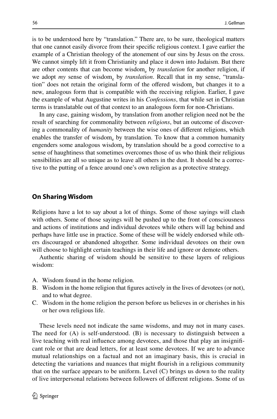is to be understood here by "translation." There are, to be sure, theological matters that one cannot easily divorce from their specifc religious context. I gave earlier the example of a Christian theology of the atonement of our sins by Jesus on the cross. We cannot simply lift it from Christianity and place it down into Judaism. But there are other contents that can become wisdome by *translation* for another religion, if we adopt *my* sense of wisdom, by *translation*. Recall that in my sense, "translation" does not retain the original form of the offered wisdom<sub>e</sub> but changes it to a new, analogous form that is compatible with the receiving religion. Earlier, I gave the example of what Augustine writes in his *Confessions*, that while set in Christian terms is translatable out of that context to an analogous form for non-Christians.

In any case, gaining wisdom, by translation from another religion need not be the result of searching for commonality between *religions*, but an outcome of discovering a commonality of *humanity* between the wise ones of diferent religions, which enables the transfer of wisdom, by translation. To know that a common humanity engenders some analogous wisdom<sub>e</sub> by translation should be a good corrective to a sense of haughtiness that sometimes overcomes those of us who think their religious sensibilities are all so unique as to leave all others in the dust. It should be a corrective to the putting of a fence around one's own religion as a protective strategy.

#### **On Sharing Wisdom**

Religions have a lot to say about a lot of things. Some of those sayings will clash with others. Some of those sayings will be pushed up to the front of consciousness and actions of institutions and individual devotees while others will lag behind and perhaps have little use in practice. Some of these will be widely endorsed while others discouraged or abandoned altogether. Some individual devotees on their own will choose to highlight certain teachings in their life and ignore or demote others.

Authentic sharing of wisdom should be sensitive to these layers of religious wisdom:

- A. Wisdom found in the home religion.
- B. Wisdom in the home religion that fgures actively in the lives of devotees (or not), and to what degree.
- C. Wisdom in the home religion the person before us believes in or cherishes in his or her own religious life.

These levels need not indicate the same wisdoms, and may not in many cases. The need for (A) is self-understood. (B) is necessary to distinguish between a live teaching with real infuence among devotees, and those that play an insignifcant role or that are dead letters, for at least some devotees. If we are to advance mutual relationships on a factual and not an imaginary basis, this is crucial in detecting the variations and nuances that might fourish in a religious community that on the surface appears to be uniform. Level (C) brings us down to the reality of live interpersonal relations between followers of diferent religions. Some of us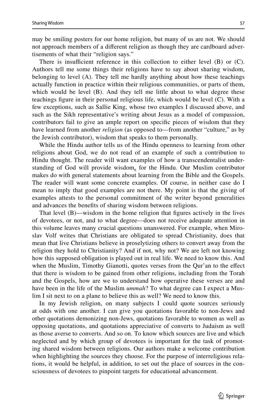may be smiling posters for our home religion, but many of us are not. We should not approach members of a diferent religion as though they are cardboard advertisements of what their "religion says."

There is insufficient reference in this collection to either level  $(B)$  or  $(C)$ . Authors tell me some things their religions have to say about sharing wisdom, belonging to level (A). They tell me hardly anything about how these teachings actually function in practice within their religious communities, or parts of them, which would be level (B). And they tell me little about to what degree these teachings fgure in their personal religious life, which would be level (C). With a few exceptions, such as Sallie King, whose two examples I discussed above, and such as the Sikh representative's writing about Jesus as a model of compassion, contributors fail to give an ample report on specifc pieces of wisdom that they have learned from another *religion* (as opposed to—from another "culture," as by the Jewish contributor), wisdom that speaks to them personally.

While the Hindu author tells us of the Hindu openness to learning from other religions about God, we do not read of an example of such a contribution to Hindu thought. The reader will want examples of how a transcendentalist understanding of God will provide wisdome for the Hindu. Our Muslim contributor makes do with general statements about learning from the Bible and the Gospels. The reader will want some concrete examples. Of course, in neither case do I mean to imply that good examples are not there. My point is that the giving of examples attests to the personal commitment of the writer beyond generalities and advances the benefts of sharing wisdom between religions.

That level (B)—wisdom in the home religion that fgures actively in the lives of devotees, or not, and to what degree—does not receive adequate attention in this volume leaves many crucial questions unanswered. For example, when Miroslav Volf writes that Christians are obligated to spread Christianity, does that mean that live Christians believe in proselytizing others to convert away from the religion they hold to Christianity? And if not, why not? We are left not knowing how this supposed obligation is played out in real life. We need to know this. And when the Muslim, Timothy Gianotti, quotes verses from the Qur'an to the efect that there is wisdom to be gained from other religions, including from the Torah and the Gospels, how are we to understand how operative these verses are and have been in the life of the Muslim *ummah*? To what degree can I expect a Muslim I sit next to on a plane to believe this as well? We need to know this.

In my Jewish religion, on many subjects I could quote sources seriously at odds with one another. I can give you quotations favorable to non-Jews and other quotations demonizing non-Jews, quotations favorable to women as well as opposing quotations, and quotations appreciative of converts to Judaism as well as those averse to converts. And so on. To know which sources are live and which neglected and by which group of devotees is important for the task of promoting shared wisdom between religions. Our authors make a welcome contribution when highlighting the sources they choose. For the purpose of interreligious relations, it would be helpful, in addition, to set out the place of sources in the consciousness of devotees to pinpoint targets for educational advancement.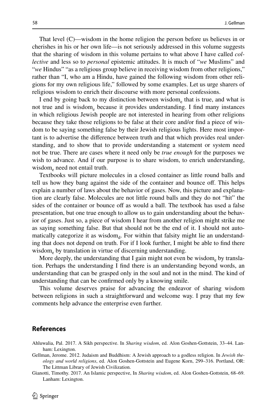That level (C)—wisdom in the home religion the person before us believes in or cherishes in his or her own life—is not seriously addressed in this volume suggests that the sharing of wisdom in this volume pertains to what above I have called *collective* and less so to *personal* epistemic attitudes. It is much of "*we* Muslims" and "*we* Hindus" "as a religious group believe in receiving wisdom from other religions," rather than "I, who am a Hindu, have gained the following wisdom from other religions for my own religious life," followed by some examples. Let us urge sharers of religious wisdom to enrich their discourse with more personal confessions.

I end by going back to my distinction between wisdome that is true, and what is not true and is wisdom<sub>e</sub> because it provides understanding. I find many instances in which religious Jewish people are not interested in hearing from other religions because they take those religions to be false at their core and/or fnd a piece of wisdom to be saying something false by their Jewish religious lights. Here most important is to advertise the diference between truth and that which provides real understanding, and to show that to provide understanding a statement or system need not be true. There are cases where it need only be *true enough* for the purposes we wish to advance. And if our purpose is to share wisdom, to enrich understanding, wisdom<sub>e</sub> need not entail truth.

Textbooks will picture molecules in a closed container as little round balls and tell us how they bang against the side of the container and bounce of. This helps explain a number of laws about the behavior of gases. Now, this picture and explanation are clearly false. Molecules are not little round balls and they do not "hit" the sides of the container or bounce off as would a ball. The textbook has used a false presentation, but one true enough to allow us to gain understanding about the behavior of gases. Just so, a piece of wisdom I hear from another religion might strike me as saying something false. But that should not be the end of it. I should not automatically categorize it as wisdom<sub>d</sub>. For within that falsity might lie an understanding that does not depend on truth. For if I look further, I might be able to fnd there wisdom, by translation in virtue of discerning understanding.

More deeply, the understanding that I gain might not even be wisdom, by translation. Perhaps the understanding I fnd there is an understanding beyond words, an understanding that can be grasped only in the soul and not in the mind. The kind of understanding that can be confrmed only by a knowing smile.

This volume deserves praise for advancing the endeavor of sharing wisdom between religions in such a straightforward and welcome way. I pray that my few comments help advance the enterprise even further.

#### **References**

- <span id="page-13-0"></span>Ahluwalia, Pal. 2017. A Sikh perspective. In *Sharing wisdom*, ed. Alon Goshen-Gottstein, 33–44. Lanham: Lexington.
- <span id="page-13-2"></span>Gellman, Jerome. 2012. Judaism and Buddhism: A Jewish approach to a godless religion. In *Jewish theology and world religions*, ed. Alon Goshen-Gottstein and Eugene Korn, 299–316. Portland, OR: The Littman Library of Jewish Civilization.
- <span id="page-13-1"></span>Gianotti, Timothy. 2017. An Islamic perspective, In *Sharing wisdom*, ed. Alon Goshen-Gottstein, 68–69. Lanham: Lexington.